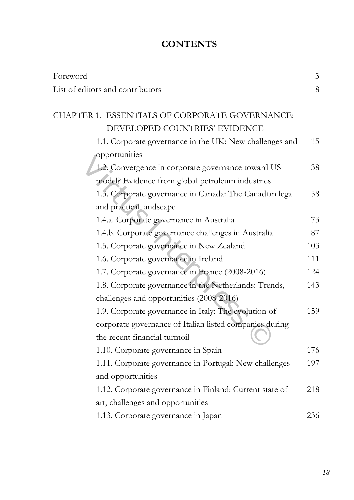## **CONTENTS**

| Foreword                                                | $\mathfrak{Z}$ |
|---------------------------------------------------------|----------------|
| List of editors and contributors                        | 8              |
| CHAPTER 1. ESSENTIALS OF CORPORATE GOVERNANCE:          |                |
| DEVELOPED COUNTRIES' EVIDENCE                           |                |
| 1.1. Corporate governance in the UK: New challenges and | 15             |
| opportunities                                           |                |
| 1.2. Convergence in corporate governance toward US      | 38             |
| model? Evidence from global petroleum industries        |                |
| 1.3. Corporate governance in Canada: The Canadian legal | 58             |
| and practical landscape                                 |                |
| 1.4.a. Corporate governance in Australia                | 73             |
| 1.4.b. Corporate governance challenges in Australia     | 87             |
| 1.5. Corporate governance in New Zealand                | 103            |
| 1.6. Corporate governance in Ireland                    | 111            |
| 1.7. Corporate governance in France (2008-2016)         | 124            |
| 1.8. Corporate governance in the Netherlands: Trends,   | 143            |
| challenges and opportunities (2008-2016)                |                |
| 1.9. Corporate governance in Italy: The evolution of    | 159            |
| corporate governance of Italian listed companies during |                |
| the recent financial turmoil                            |                |
| 1.10. Corporate governance in Spain                     | 176            |
| 1.11. Corporate governance in Portugal: New challenges  | 197            |
| and opportunities                                       |                |
| 1.12. Corporate governance in Finland: Current state of | 218            |
| art, challenges and opportunities                       |                |
| 1.13. Corporate governance in Japan                     | 236            |